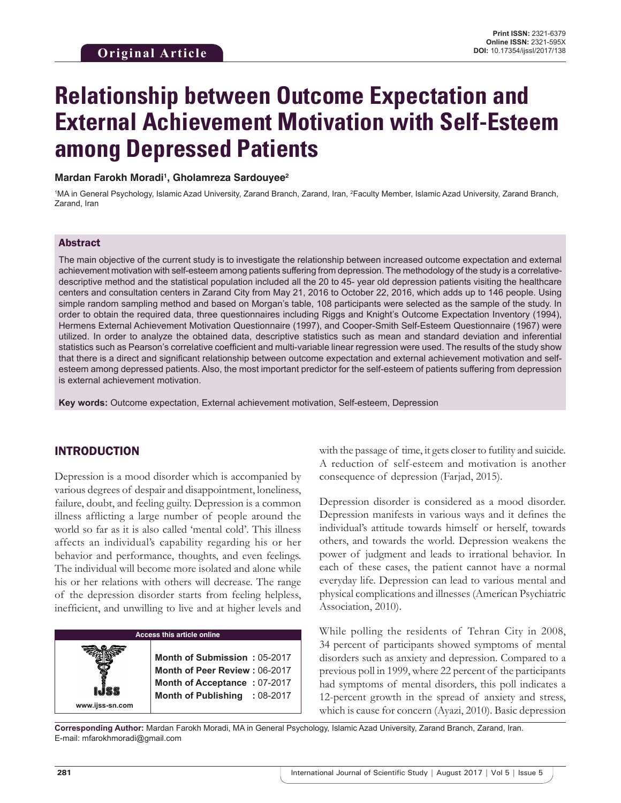# **Relationship between Outcome Expectation and External Achievement Motivation with Self-Esteem among Depressed Patients**

Mardan Farokh Moradi<sup>1</sup>, Gholamreza Sardouyee<sup>2</sup>

<sup>1</sup>MA in General Psychology, Islamic Azad University, Zarand Branch, Zarand, Iran, <sup>2</sup>Faculty Member, Islamic Azad University, Zarand Branch, Zarand, Iran

### Abstract

The main objective of the current study is to investigate the relationship between increased outcome expectation and external achievement motivation with self-esteem among patients suffering from depression. The methodology of the study is a correlativedescriptive method and the statistical population included all the 20 to 45- year old depression patients visiting the healthcare centers and consultation centers in Zarand City from May 21, 2016 to October 22, 2016, which adds up to 146 people. Using simple random sampling method and based on Morgan's table, 108 participants were selected as the sample of the study. In order to obtain the required data, three questionnaires including Riggs and Knight's Outcome Expectation Inventory (1994), Hermens External Achievement Motivation Questionnaire (1997), and Cooper-Smith Self-Esteem Questionnaire (1967) were utilized. In order to analyze the obtained data, descriptive statistics such as mean and standard deviation and inferential statistics such as Pearson's correlative coefficient and multi-variable linear regression were used. The results of the study show that there is a direct and significant relationship between outcome expectation and external achievement motivation and selfesteem among depressed patients. Also, the most important predictor for the self-esteem of patients suffering from depression is external achievement motivation.

**Key words:** Outcome expectation, External achievement motivation, Self-esteem, Depression

## INTRODUCTION

Depression is a mood disorder which is accompanied by various degrees of despair and disappointment, loneliness, failure, doubt, and feeling guilty. Depression is a common illness afflicting a large number of people around the world so far as it is also called 'mental cold'. This illness affects an individual's capability regarding his or her behavior and performance, thoughts, and even feelings. The individual will become more isolated and alone while his or her relations with others will decrease. The range of the depression disorder starts from feeling helpless, inefficient, and unwilling to live and at higher levels and

## **Access this article online**

**Month of Submission :** 05-2017 **Month of Peer Review :** 06-2017 **Month of Acceptance :** 07-2017 **Month of Publishing :** 08-2017 with the passage of time, it gets closer to futility and suicide. A reduction of self-esteem and motivation is another consequence of depression (Farjad, 2015).

Depression disorder is considered as a mood disorder. Depression manifests in various ways and it defines the individual's attitude towards himself or herself, towards others, and towards the world. Depression weakens the power of judgment and leads to irrational behavior. In each of these cases, the patient cannot have a normal everyday life. Depression can lead to various mental and physical complications and illnesses (American Psychiatric Association, 2010).

While polling the residents of Tehran City in 2008, 34 percent of participants showed symptoms of mental disorders such as anxiety and depression. Compared to a previous poll in 1999, where 22 percent of the participants had symptoms of mental disorders, this poll indicates a 12-percent growth in the spread of anxiety and stress, which is cause for concern (Ayazi, 2010). Basic depression

**Corresponding Author:** Mardan Farokh Moradi, MA in General Psychology, Islamic Azad University, Zarand Branch, Zarand, Iran. E-mail: mfarokhmoradi@gmail.com

**www.ijss-sn.com**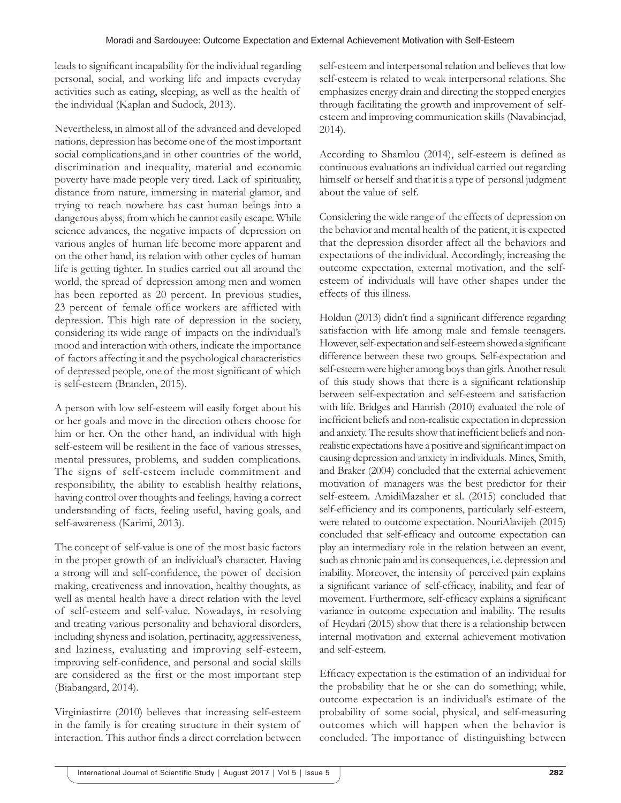leads to significant incapability for the individual regarding personal, social, and working life and impacts everyday activities such as eating, sleeping, as well as the health of the individual (Kaplan and Sudock, 2013).

Nevertheless, in almost all of the advanced and developed nations, depression has become one of the most important social complications,and in other countries of the world, discrimination and inequality, material and economic poverty have made people very tired. Lack of spirituality, distance from nature, immersing in material glamor, and trying to reach nowhere has cast human beings into a dangerous abyss, from which he cannot easily escape. While science advances, the negative impacts of depression on various angles of human life become more apparent and on the other hand, its relation with other cycles of human life is getting tighter. In studies carried out all around the world, the spread of depression among men and women has been reported as 20 percent. In previous studies, 23 percent of female office workers are afflicted with depression. This high rate of depression in the society, considering its wide range of impacts on the individual's mood and interaction with others, indicate the importance of factors affecting it and the psychological characteristics of depressed people, one of the most significant of which is self-esteem (Branden, 2015).

A person with low self-esteem will easily forget about his or her goals and move in the direction others choose for him or her. On the other hand, an individual with high self-esteem will be resilient in the face of various stresses, mental pressures, problems, and sudden complications. The signs of self-esteem include commitment and responsibility, the ability to establish healthy relations, having control over thoughts and feelings, having a correct understanding of facts, feeling useful, having goals, and self-awareness (Karimi, 2013).

The concept of self-value is one of the most basic factors in the proper growth of an individual's character. Having a strong will and self-confidence, the power of decision making, creativeness and innovation, healthy thoughts, as well as mental health have a direct relation with the level of self-esteem and self-value. Nowadays, in resolving and treating various personality and behavioral disorders, including shyness and isolation, pertinacity, aggressiveness, and laziness, evaluating and improving self-esteem, improving self-confidence, and personal and social skills are considered as the first or the most important step (Biabangard, 2014).

Virginiastirre (2010) believes that increasing self-esteem in the family is for creating structure in their system of interaction. This author finds a direct correlation between self-esteem and interpersonal relation and believes that low self-esteem is related to weak interpersonal relations. She emphasizes energy drain and directing the stopped energies through facilitating the growth and improvement of selfesteem and improving communication skills (Navabinejad, 2014).

According to Shamlou (2014), self-esteem is defined as continuous evaluations an individual carried out regarding himself or herself and that it is a type of personal judgment about the value of self.

Considering the wide range of the effects of depression on the behavior and mental health of the patient, it is expected that the depression disorder affect all the behaviors and expectations of the individual. Accordingly, increasing the outcome expectation, external motivation, and the selfesteem of individuals will have other shapes under the effects of this illness.

Holdun (2013) didn't find a significant difference regarding satisfaction with life among male and female teenagers. However, self-expectation and self-esteem showed a significant difference between these two groups. Self-expectation and self-esteem were higher among boys than girls. Another result of this study shows that there is a significant relationship between self-expectation and self-esteem and satisfaction with life. Bridges and Hanrish (2010) evaluated the role of inefficient beliefs and non-realistic expectation in depression and anxiety. The results show that inefficient beliefs and nonrealistic expectations have a positive and significant impact on causing depression and anxiety in individuals. Mines, Smith, and Braker (2004) concluded that the external achievement motivation of managers was the best predictor for their self-esteem. AmidiMazaher et al. (2015) concluded that self-efficiency and its components, particularly self-esteem, were related to outcome expectation. NouriAlavijeh (2015) concluded that self-efficacy and outcome expectation can play an intermediary role in the relation between an event, such as chronic pain and its consequences, i.e. depression and inability. Moreover, the intensity of perceived pain explains a significant variance of self-efficacy, inability, and fear of movement. Furthermore, self-efficacy explains a significant variance in outcome expectation and inability. The results of Heydari (2015) show that there is a relationship between internal motivation and external achievement motivation and self-esteem.

Efficacy expectation is the estimation of an individual for the probability that he or she can do something; while, outcome expectation is an individual's estimate of the probability of some social, physical, and self-measuring outcomes which will happen when the behavior is concluded. The importance of distinguishing between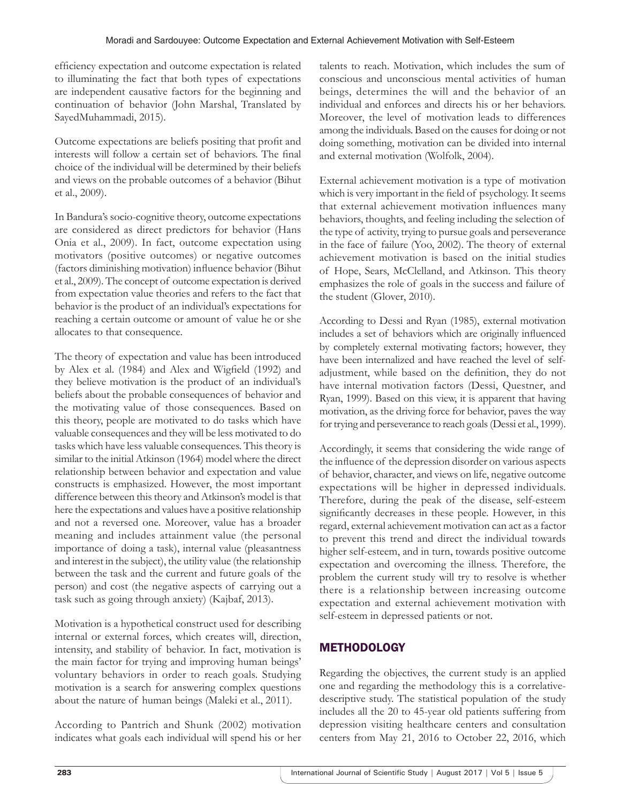efficiency expectation and outcome expectation is related to illuminating the fact that both types of expectations are independent causative factors for the beginning and continuation of behavior (John Marshal, Translated by SayedMuhammadi, 2015).

Outcome expectations are beliefs positing that profit and interests will follow a certain set of behaviors. The final choice of the individual will be determined by their beliefs and views on the probable outcomes of a behavior (Bihut et al., 2009).

In Bandura's socio-cognitive theory, outcome expectations are considered as direct predictors for behavior (Hans Onia et al., 2009). In fact, outcome expectation using motivators (positive outcomes) or negative outcomes (factors diminishing motivation) influence behavior (Bihut et al., 2009). The concept of outcome expectation is derived from expectation value theories and refers to the fact that behavior is the product of an individual's expectations for reaching a certain outcome or amount of value he or she allocates to that consequence.

The theory of expectation and value has been introduced by Alex et al. (1984) and Alex and Wigfield (1992) and they believe motivation is the product of an individual's beliefs about the probable consequences of behavior and the motivating value of those consequences. Based on this theory, people are motivated to do tasks which have valuable consequences and they will be less motivated to do tasks which have less valuable consequences. This theory is similar to the initial Atkinson (1964) model where the direct relationship between behavior and expectation and value constructs is emphasized. However, the most important difference between this theory and Atkinson's model is that here the expectations and values have a positive relationship and not a reversed one. Moreover, value has a broader meaning and includes attainment value (the personal importance of doing a task), internal value (pleasantness and interest in the subject), the utility value (the relationship between the task and the current and future goals of the person) and cost (the negative aspects of carrying out a task such as going through anxiety) (Kajbaf, 2013).

Motivation is a hypothetical construct used for describing internal or external forces, which creates will, direction, intensity, and stability of behavior. In fact, motivation is the main factor for trying and improving human beings' voluntary behaviors in order to reach goals. Studying motivation is a search for answering complex questions about the nature of human beings (Maleki et al., 2011).

According to Pantrich and Shunk (2002) motivation indicates what goals each individual will spend his or her talents to reach. Motivation, which includes the sum of conscious and unconscious mental activities of human beings, determines the will and the behavior of an individual and enforces and directs his or her behaviors. Moreover, the level of motivation leads to differences among the individuals. Based on the causes for doing or not doing something, motivation can be divided into internal and external motivation (Wolfolk, 2004).

External achievement motivation is a type of motivation which is very important in the field of psychology. It seems that external achievement motivation influences many behaviors, thoughts, and feeling including the selection of the type of activity, trying to pursue goals and perseverance in the face of failure (Yoo, 2002). The theory of external achievement motivation is based on the initial studies of Hope, Sears, McClelland, and Atkinson. This theory emphasizes the role of goals in the success and failure of the student (Glover, 2010).

According to Dessi and Ryan (1985), external motivation includes a set of behaviors which are originally influenced by completely external motivating factors; however, they have been internalized and have reached the level of selfadjustment, while based on the definition, they do not have internal motivation factors (Dessi, Questner, and Ryan, 1999). Based on this view, it is apparent that having motivation, as the driving force for behavior, paves the way for trying and perseverance to reach goals (Dessi et al., 1999).

Accordingly, it seems that considering the wide range of the influence of the depression disorder on various aspects of behavior, character, and views on life, negative outcome expectations will be higher in depressed individuals. Therefore, during the peak of the disease, self-esteem significantly decreases in these people. However, in this regard, external achievement motivation can act as a factor to prevent this trend and direct the individual towards higher self-esteem, and in turn, towards positive outcome expectation and overcoming the illness. Therefore, the problem the current study will try to resolve is whether there is a relationship between increasing outcome expectation and external achievement motivation with self-esteem in depressed patients or not.

# **METHODOLOGY**

Regarding the objectives, the current study is an applied one and regarding the methodology this is a correlativedescriptive study. The statistical population of the study includes all the 20 to 45-year old patients suffering from depression visiting healthcare centers and consultation centers from May 21, 2016 to October 22, 2016, which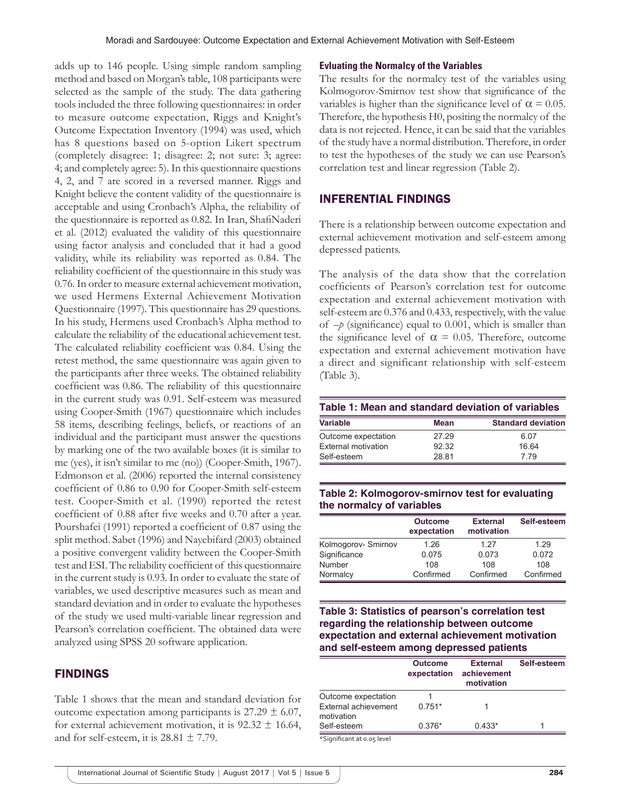adds up to 146 people. Using simple random sampling method and based on Morgan's table, 108 participants were selected as the sample of the study. The data gathering tools included the three following questionnaires: in order to measure outcome expectation, Riggs and Knight's Outcome Expectation Inventory (1994) was used, which has 8 questions based on 5-option Likert spectrum (completely disagree: 1; disagree: 2; not sure: 3; agree: 4; and completely agree: 5). In this questionnaire questions 4, 2, and 7 are scored in a reversed manner. Riggs and Knight believe the content validity of the questionnaire is acceptable and using Cronbach's Alpha, the reliability of the questionnaire is reported as 0.82. In Iran, ShafiNaderi et al. (2012) evaluated the validity of this questionnaire using factor analysis and concluded that it had a good validity, while its reliability was reported as 0.84. The reliability coefficient of the questionnaire in this study was 0.76. In order to measure external achievement motivation, we used Hermens External Achievement Motivation Questionnaire (1997). This questionnaire has 29 questions. In his study, Hermens used Cronbach's Alpha method to calculate the reliability of the educational achievement test. The calculated reliability coefficient was 0.84. Using the retest method, the same questionnaire was again given to the participants after three weeks. The obtained reliability coefficient was 0.86. The reliability of this questionnaire in the current study was 0.91. Self-esteem was measured using Cooper-Smith (1967) questionnaire which includes 58 items, describing feelings, beliefs, or reactions of an individual and the participant must answer the questions by marking one of the two available boxes (it is similar to me (yes), it isn't similar to me (no)) (Cooper-Smith, 1967). Edmonson et al. (2006) reported the internal consistency coefficient of 0.86 to 0.90 for Cooper-Smith self-esteem test. Cooper-Smith et al. (1990) reported the retest coefficient of 0.88 after five weeks and 0.70 after a year. Pourshafei (1991) reported a coefficient of 0.87 using the split method. Sabet (1996) and Nayebifard (2003) obtained a positive convergent validity between the Cooper-Smith test and ESI. The reliability coefficient of this questionnaire in the current study is 0.93. In order to evaluate the state of variables, we used descriptive measures such as mean and standard deviation and in order to evaluate the hypotheses of the study we used multi-variable linear regression and Pearson's correlation coefficient. The obtained data were analyzed using SPSS 20 software application.

## FINDINGS

Table 1 shows that the mean and standard deviation for outcome expectation among participants is  $27.29 \pm 6.07$ , for external achievement motivation, it is  $92.32 \pm 16.64$ , and for self-esteem, it is  $28.81 \pm 7.79$ .

#### **Evluating the Normalcy of the Variables**

The results for the normalcy test of the variables using Kolmogorov-Smirnov test show that significance of the variables is higher than the significance level of  $\alpha = 0.05$ . Therefore, the hypothesis H0, positing the normalcy of the data is not rejected. Hence, it can be said that the variables of the study have a normal distribution. Therefore, in order to test the hypotheses of the study we can use Pearson's correlation test and linear regression (Table 2).

#### INFERENTIAL FINDINGS

There is a relationship between outcome expectation and external achievement motivation and self-esteem among depressed patients.

The analysis of the data show that the correlation coefficients of Pearson's correlation test for outcome expectation and external achievement motivation with self-esteem are 0.376 and 0.433, respectively, with the value of  $-p$  (significance) equal to 0.001, which is smaller than the significance level of  $\alpha = 0.05$ . Therefore, outcome expectation and external achievement motivation have a direct and significant relationship with self-esteem (Table 3).

| <b>Variable</b>     | Mean  | <b>Standard deviation</b> |  |  |
|---------------------|-------|---------------------------|--|--|
| Outcome expectation | 27 29 | 6.07                      |  |  |
| External motivation | 92.32 | 16 64                     |  |  |
| Self-esteem         | 28.81 | 7 7 9                     |  |  |

#### **Table 2: Kolmogorov‑smirnov test for evaluating the normalcy of variables**

|                    | <b>Outcome</b><br>expectation | <b>External</b><br>motivation | Self-esteem |
|--------------------|-------------------------------|-------------------------------|-------------|
| Kolmogorov-Smirnov | 1.26                          | 1 27                          | 1.29        |
| Significance       | 0.075                         | 0.073                         | 0.072       |
| Number             | 108                           | 108                           | 108         |
| Normalcy           | Confirmed                     | Confirmed                     | Confirmed   |

#### **Table 3: Statistics of pearson's correlation test regarding the relationship between outcome expectation and external achievement motivation and self‑esteem among depressed patients**

|                                    | <b>Outcome</b><br>expectation | <b>External</b><br>achievement<br>motivation | Self-esteem |  |
|------------------------------------|-------------------------------|----------------------------------------------|-------------|--|
| Outcome expectation                |                               |                                              |             |  |
| External achievement<br>motivation | $0.751*$                      |                                              |             |  |
| Self-esteem                        | $0.376*$                      | $0.433*$                                     |             |  |
| *Significant at o or level         |                               |                                              |             |  |

ficant at 0.05 level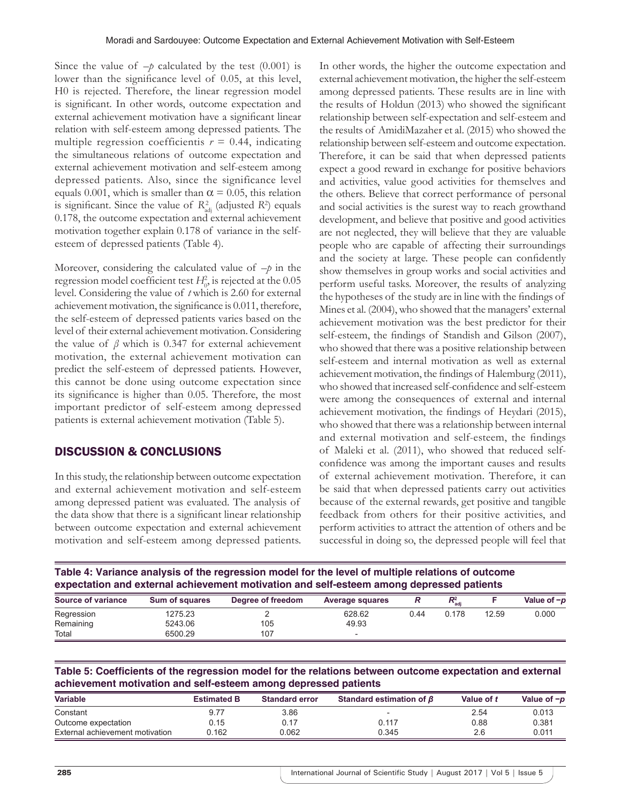Since the value of  $-p$  calculated by the test (0.001) is lower than the significance level of 0.05, at this level, H0 is rejected. Therefore, the linear regression model is significant. In other words, outcome expectation and external achievement motivation have a significant linear relation with self-esteem among depressed patients. The multiple regression coefficientis  $r = 0.44$ , indicating the simultaneous relations of outcome expectation and external achievement motivation and self-esteem among depressed patients. Also, since the significance level equals 0.001, which is smaller than  $\alpha = 0.05$ , this relation is significant. Since the value of  $R_{\text{adj}}^2$  (adjusted  $R^2$ ) equals 0.178, the outcome expectation and external achievement motivation together explain 0.178 of variance in the selfesteem of depressed patients (Table 4).

Moreover, considering the calculated value of –*p* in the regression model coefficient test  $H_0^2$ , is rejected at the  $0.05$ level. Considering the value of *t* which is 2.60 for external achievement motivation, the significance is 0.011, therefore, the self-esteem of depressed patients varies based on the level of their external achievement motivation. Considering the value of  $\beta$  which is 0.347 for external achievement motivation, the external achievement motivation can predict the self-esteem of depressed patients. However, this cannot be done using outcome expectation since its significance is higher than 0.05. Therefore, the most important predictor of self-esteem among depressed patients is external achievement motivation (Table 5).

## DISCUSSION & CONCLUSIONS

In this study, the relationship between outcome expectation and external achievement motivation and self-esteem among depressed patient was evaluated. The analysis of the data show that there is a significant linear relationship between outcome expectation and external achievement motivation and self-esteem among depressed patients. In other words, the higher the outcome expectation and external achievement motivation, the higher the self-esteem among depressed patients. These results are in line with the results of Holdun (2013) who showed the significant relationship between self-expectation and self-esteem and the results of AmidiMazaher et al. (2015) who showed the relationship between self-esteem and outcome expectation. Therefore, it can be said that when depressed patients expect a good reward in exchange for positive behaviors and activities, value good activities for themselves and the others. Believe that correct performance of personal and social activities is the surest way to reach growthand development, and believe that positive and good activities are not neglected, they will believe that they are valuable people who are capable of affecting their surroundings and the society at large. These people can confidently show themselves in group works and social activities and perform useful tasks. Moreover, the results of analyzing the hypotheses of the study are in line with the findings of Mines et al. (2004), who showed that the managers' external achievement motivation was the best predictor for their self-esteem, the findings of Standish and Gilson (2007), who showed that there was a positive relationship between self-esteem and internal motivation as well as external achievement motivation, the findings of Halemburg (2011), who showed that increased self-confidence and self-esteem were among the consequences of external and internal achievement motivation, the findings of Heydari (2015), who showed that there was a relationship between internal and external motivation and self-esteem, the findings of Maleki et al. (2011), who showed that reduced selfconfidence was among the important causes and results of external achievement motivation. Therefore, it can be said that when depressed patients carry out activities because of the external rewards, get positive and tangible feedback from others for their positive activities, and perform activities to attract the attention of others and be successful in doing so, the depressed people will feel that

**Table 4: Variance analysis of the regression model for the level of multiple relations of outcome expectation and external achievement motivation and self‑esteem among depressed patients**

| Source of variance | Sum of squares | Degree of freedom | <b>Average squares</b> |      | P2<br>`ad |       | Value of $-p$ |
|--------------------|----------------|-------------------|------------------------|------|-----------|-------|---------------|
| Regression         | 1275.23        |                   | 628.62                 | 0.44 | 0.178     | 12.59 | 0.000         |
| Remaining          | 5243.06        | 105               | 49.93                  |      |           |       |               |
| Total              | 6500.29        | 107               |                        |      |           |       |               |

**Table 5: Coefficients of the regression model for the relations between outcome expectation and external achievement motivation and self‑esteem among depressed patients**

| <b>Variable</b>                 | <b>Estimated B</b> | <b>Standard error</b> | Standard estimation of $\beta$ | Value of t | Value of $-p$ |
|---------------------------------|--------------------|-----------------------|--------------------------------|------------|---------------|
| Constant                        | 9.77               | 3.86                  |                                | 2.54       | 0.013         |
| Outcome expectation             | 0.15               | 0.17                  | 0.117                          | 0.88       | 0.381         |
| External achievement motivation | ა.162              | 0.062                 | 0.345                          | 2.6        | 0.011         |